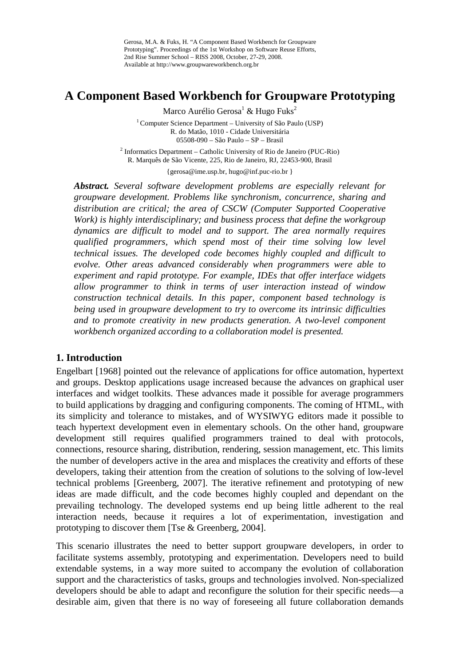Gerosa, M.A. & Fuks, H. "A Component Based Workbench for Groupware Prototyping". Proceedings of the 1st Workshop on Software Reuse Efforts, 2nd Rise Summer School – RISS 2008, October, 27-29, 2008. Available at http://www.groupwareworkbench.org.br

# **A Component Based Workbench for Groupware Prototyping**

Marco Aurélio Gerosa<sup>1</sup> & Hugo Fuks<sup>2</sup>

<sup>1</sup> Computer Science Department – University of São Paulo (USP) R. do Matão, 1010 - Cidade Universitária 05508-090 – São Paulo – SP – Brasil

<sup>2</sup> Informatics Department – Catholic University of Rio de Janeiro (PUC-Rio) R. Marquês de São Vicente, 225, Rio de Janeiro, RJ, 22453-900, Brasil

{gerosa@ime.usp.br, hugo@inf.puc-rio.br }

*Abstract. Several software development problems are especially relevant for groupware development. Problems like synchronism, concurrence, sharing and distribution are critical; the area of CSCW (Computer Supported Cooperative Work) is highly interdisciplinary; and business process that define the workgroup dynamics are difficult to model and to support. The area normally requires qualified programmers, which spend most of their time solving low level technical issues. The developed code becomes highly coupled and difficult to evolve. Other areas advanced considerably when programmers were able to experiment and rapid prototype. For example, IDEs that offer interface widgets allow programmer to think in terms of user interaction instead of window construction technical details. In this paper, component based technology is being used in groupware development to try to overcome its intrinsic difficulties and to promote creativity in new products generation. A two-level component workbench organized according to a collaboration model is presented.*

# **1. Introduction**

Engelbart [1968] pointed out the relevance of applications for office automation, hypertext and groups. Desktop applications usage increased because the advances on graphical user interfaces and widget toolkits. These advances made it possible for average programmers to build applications by dragging and configuring components. The coming of HTML, with its simplicity and tolerance to mistakes, and of WYSIWYG editors made it possible to teach hypertext development even in elementary schools. On the other hand, groupware development still requires qualified programmers trained to deal with protocols, connections, resource sharing, distribution, rendering, session management, etc. This limits the number of developers active in the area and misplaces the creativity and efforts of these developers, taking their attention from the creation of solutions to the solving of low-level technical problems [Greenberg, 2007]. The iterative refinement and prototyping of new ideas are made difficult, and the code becomes highly coupled and dependant on the prevailing technology. The developed systems end up being little adherent to the real interaction needs, because it requires a lot of experimentation, investigation and prototyping to discover them [Tse & Greenberg, 2004].

This scenario illustrates the need to better support groupware developers, in order to facilitate systems assembly, prototyping and experimentation. Developers need to build extendable systems, in a way more suited to accompany the evolution of collaboration support and the characteristics of tasks, groups and technologies involved. Non-specialized developers should be able to adapt and reconfigure the solution for their specific needs—a desirable aim, given that there is no way of foreseeing all future collaboration demands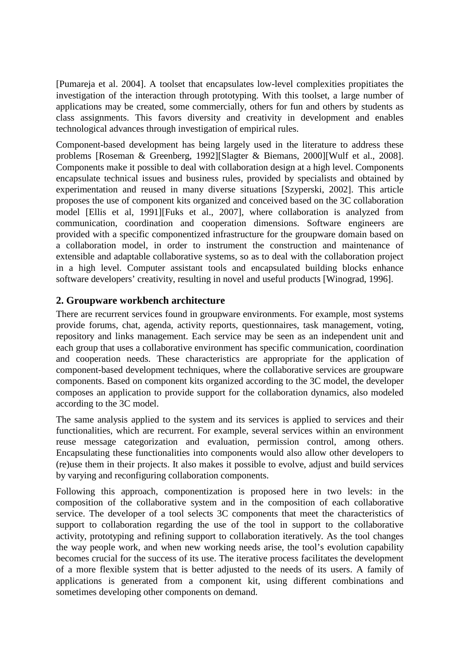[Pumareja et al. 2004]. A toolset that encapsulates low-level complexities propitiates the investigation of the interaction through prototyping. With this toolset, a large number of applications may be created, some commercially, others for fun and others by students as class assignments. This favors diversity and creativity in development and enables technological advances through investigation of empirical rules.

Component-based development has being largely used in the literature to address these problems [Roseman & Greenberg, 1992][Slagter & Biemans, 2000][Wulf et al., 2008]. Components make it possible to deal with collaboration design at a high level. Components encapsulate technical issues and business rules, provided by specialists and obtained by experimentation and reused in many diverse situations [Szyperski, 2002]. This article proposes the use of component kits organized and conceived based on the 3C collaboration model [Ellis et al, 1991][Fuks et al., 2007], where collaboration is analyzed from communication, coordination and cooperation dimensions. Software engineers are provided with a specific componentized infrastructure for the groupware domain based on a collaboration model, in order to instrument the construction and maintenance of extensible and adaptable collaborative systems, so as to deal with the collaboration project in a high level. Computer assistant tools and encapsulated building blocks enhance software developers' creativity, resulting in novel and useful products [Winograd, 1996].

# **2. Groupware workbench architecture**

There are recurrent services found in groupware environments. For example, most systems provide forums, chat, agenda, activity reports, questionnaires, task management, voting, repository and links management. Each service may be seen as an independent unit and each group that uses a collaborative environment has specific communication, coordination and cooperation needs. These characteristics are appropriate for the application of component-based development techniques, where the collaborative services are groupware components. Based on component kits organized according to the 3C model, the developer composes an application to provide support for the collaboration dynamics, also modeled according to the 3C model.

The same analysis applied to the system and its services is applied to services and their functionalities, which are recurrent. For example, several services within an environment reuse message categorization and evaluation, permission control, among others. Encapsulating these functionalities into components would also allow other developers to (re)use them in their projects. It also makes it possible to evolve, adjust and build services by varying and reconfiguring collaboration components.

Following this approach, componentization is proposed here in two levels: in the composition of the collaborative system and in the composition of each collaborative service. The developer of a tool selects 3C components that meet the characteristics of support to collaboration regarding the use of the tool in support to the collaborative activity, prototyping and refining support to collaboration iteratively. As the tool changes the way people work, and when new working needs arise, the tool's evolution capability becomes crucial for the success of its use. The iterative process facilitates the development of a more flexible system that is better adjusted to the needs of its users. A family of applications is generated from a component kit, using different combinations and sometimes developing other components on demand.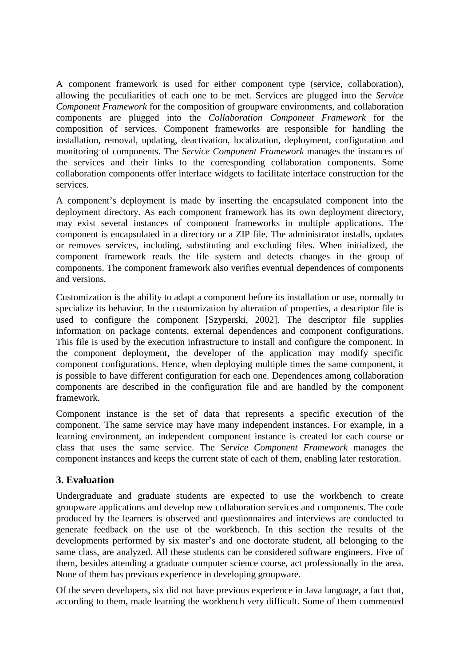A component framework is used for either component type (service, collaboration), allowing the peculiarities of each one to be met. Services are plugged into the *Service Component Framework* for the composition of groupware environments, and collaboration components are plugged into the *Collaboration Component Framework* for the composition of services. Component frameworks are responsible for handling the installation, removal, updating, deactivation, localization, deployment, configuration and monitoring of components. The *Service Component Framework* manages the instances of the services and their links to the corresponding collaboration components. Some collaboration components offer interface widgets to facilitate interface construction for the services.

A component's deployment is made by inserting the encapsulated component into the deployment directory. As each component framework has its own deployment directory, may exist several instances of component frameworks in multiple applications. The component is encapsulated in a directory or a ZIP file. The administrator installs, updates or removes services, including, substituting and excluding files. When initialized, the component framework reads the file system and detects changes in the group of components. The component framework also verifies eventual dependences of components and versions.

Customization is the ability to adapt a component before its installation or use, normally to specialize its behavior. In the customization by alteration of properties, a descriptor file is used to configure the component [Szyperski, 2002]. The descriptor file supplies information on package contents, external dependences and component configurations. This file is used by the execution infrastructure to install and configure the component. In the component deployment, the developer of the application may modify specific component configurations. Hence, when deploying multiple times the same component, it is possible to have different configuration for each one. Dependences among collaboration components are described in the configuration file and are handled by the component framework.

Component instance is the set of data that represents a specific execution of the component. The same service may have many independent instances. For example, in a learning environment, an independent component instance is created for each course or class that uses the same service. The *Service Component Framework* manages the component instances and keeps the current state of each of them, enabling later restoration.

# **3. Evaluation**

Undergraduate and graduate students are expected to use the workbench to create groupware applications and develop new collaboration services and components. The code produced by the learners is observed and questionnaires and interviews are conducted to generate feedback on the use of the workbench. In this section the results of the developments performed by six master's and one doctorate student, all belonging to the same class, are analyzed. All these students can be considered software engineers. Five of them, besides attending a graduate computer science course, act professionally in the area. None of them has previous experience in developing groupware.

Of the seven developers, six did not have previous experience in Java language, a fact that, according to them, made learning the workbench very difficult. Some of them commented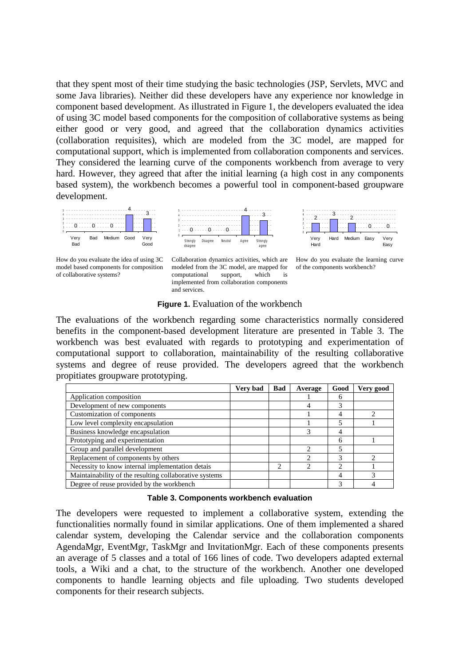that they spent most of their time studying the basic technologies (JSP, Servlets, MVC and some Java libraries). Neither did these developers have any experience nor knowledge in component based development. As illustrated in [Figure 1,](#page-3-0) the developers evaluated the idea of using 3C model based components for the composition of collaborative systems as being either good or very good, and agreed that the collaboration dynamics activities (collaboration requisites), which are modeled from the 3C model, are mapped for computational support, which is implemented from collaboration components and services. They considered the learning curve of the components workbench from average to very hard. However, they agreed that after the initial learning (a high cost in any components based system), the workbench becomes a powerful tool in component-based groupware development.



How do you evaluate the idea of using 3C model based components for composition of collaborative systems?





#### **Figure 1.** Evaluation of the workbench

<span id="page-3-0"></span>The evaluations of the workbench regarding some characteristics normally considered benefits in the component-based development literature are presented in Table 3. The workbench was best evaluated with regards to prototyping and experimentation of computational support to collaboration, maintainability of the resulting collaborative systems and degree of reuse provided. The developers agreed that the workbench propitiates groupware prototyping.

|                                                        | Very bad | <b>Bad</b>                    | Average | Good           | Very good |
|--------------------------------------------------------|----------|-------------------------------|---------|----------------|-----------|
| Application composition                                |          |                               |         | 6              |           |
| Development of new components                          |          |                               |         | 3              |           |
| Customization of components                            |          |                               |         | 4              |           |
| Low level complexity encapsulation                     |          |                               |         | 5              |           |
| Business knowledge encapsulation                       |          |                               |         | 4              |           |
| Prototyping and experimentation                        |          |                               |         | 6              |           |
| Group and parallel development                         |          |                               |         | 5              |           |
| Replacement of components by others                    |          |                               |         | 3              |           |
| Necessity to know internal implementation detais       |          | $\mathfrak{D}_{\mathfrak{p}}$ |         | $\mathfrak{D}$ |           |
| Maintainability of the resulting collaborative systems |          |                               |         | 4              |           |
| Degree of reuse provided by the workbench              |          |                               |         | 3              |           |

### **Table 3. Components workbench evaluation**

The developers were requested to implement a collaborative system, extending the functionalities normally found in similar applications. One of them implemented a shared calendar system, developing the Calendar service and the collaboration components AgendaMgr, EventMgr, TaskMgr and InvitationMgr. Each of these components presents an average of 5 classes and a total of 166 lines of code. Two developers adapted external tools, a Wiki and a chat, to the structure of the workbench. Another one developed components to handle learning objects and file uploading. Two students developed components for their research subjects.